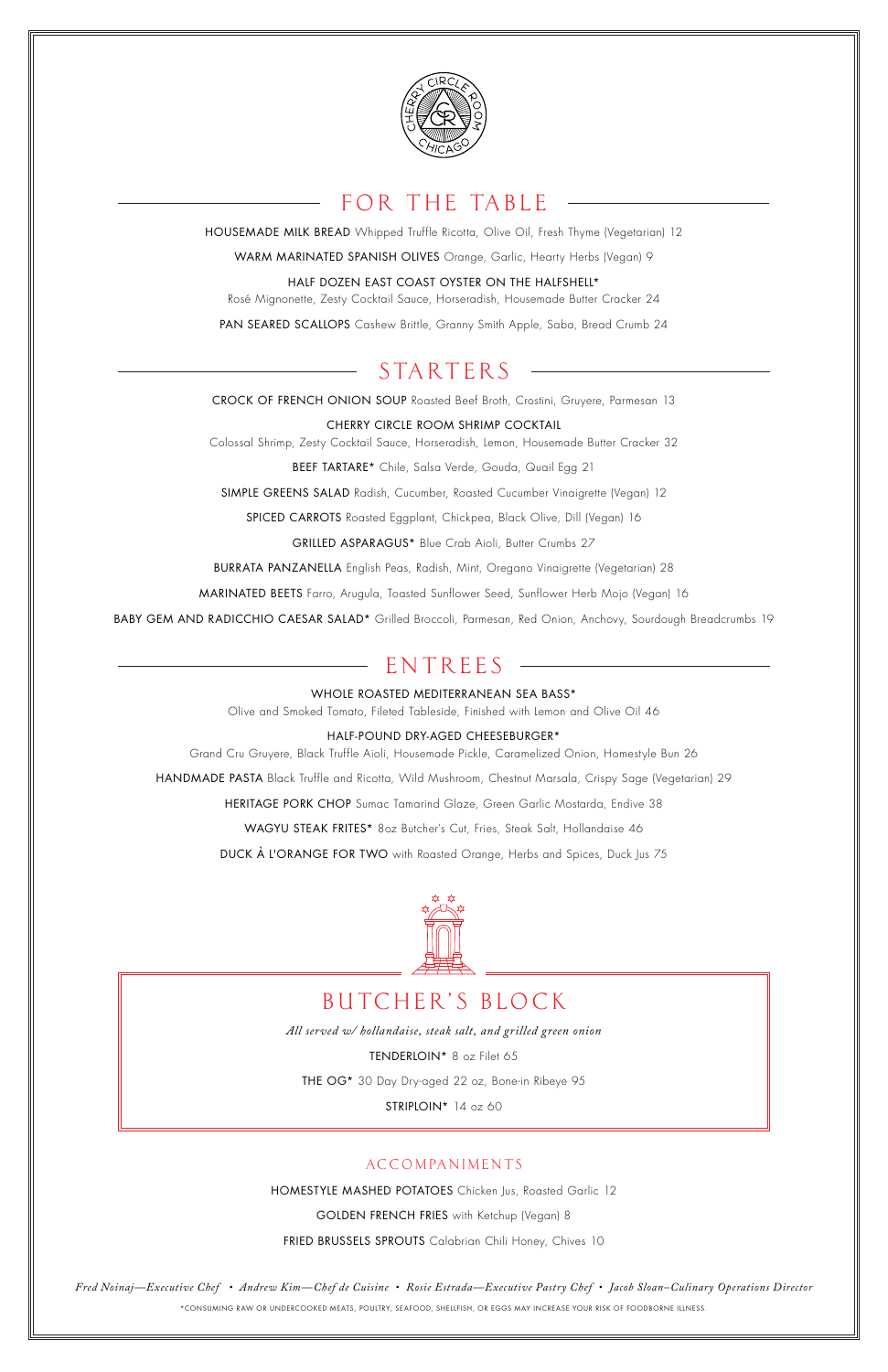

# FOR THE TABLE

HOUSEMADE MILK BREAD Whipped Truffle Ricotta, Olive Oil, Fresh Thyme (Vegetarian) 12

WARM MARINATED SPANISH OLIVES Orange, Garlic, Hearty Herbs (Vegan) 9

HALF DOZEN EAST COAST OYSTER ON THE HALFSHELL\*

Rosé Mignonette, Zesty Cocktail Sauce, Horseradish, Housemade Butter Cracker 24

PAN SEARED SCALLOPS Cashew Brittle, Granny Smith Apple, Saba, Bread Crumb 24

# **STARTERS**

CROCK OF FRENCH ONION SOUP Roasted Beef Broth, Crostini, Gruyere, Parmesan 13

CHERRY CIRCLE ROOM SHRIMP COCKTAIL Colossal Shrimp, Zesty Cocktail Sauce, Horseradish, Lemon, Housemade Butter Cracker 32

BEEF TARTARE\* Chile, Salsa Verde, Gouda, Quail Egg 21

SIMPLE GREENS SALAD Radish, Cucumber, Roasted Cucumber Vinaigrette (Vegan) 12

SPICED CARROTS Roasted Eggplant, Chickpea, Black Olive, Dill (Vegan) 16

GRILLED ASPARAGUS\* Blue Crab Aioli, Butter Crumbs 27

BURRATA PANZANELLA English Peas, Radish, Mint, Oregano Vinaigrette (Vegetarian) 28

MARINATED BEETS Farro, Arugula, Toasted Sunflower Seed, Sunflower Herb Mojo (Vegan) 16

BABY GEM AND RADICCHIO CAESAR SALAD\* Grilled Broccoli, Parmesan, Red Onion, Anchovy, Sourdough Breadcrumbs 19

# ENTREES

WHOLE ROASTED MEDITERRANEAN SEA BASS\*

Olive and Smoked Tomato, Fileted Tableside, Finished with Lemon and Olive Oil 46

### HALF-POUND DRY-AGED CHEESEBURGER\*

Grand Cru Gruyere, Black Truffle Aioli, Housemade Pickle, Caramelized Onion, Homestyle Bun 26

HANDMADE PASTA Black Truffle and Ricotta, Wild Mushroom, Chestnut Marsala, Crispy Sage (Vegetarian) 29

HERITAGE PORK CHOP Sumac Tamarind Glaze, Green Garlic Mostarda, Endive 38

WAGYU STEAK FRITES\* 8oz Butcher's Cut, Fries, Steak Salt, Hollandaise 46

DUCK À L'ORANGE FOR TWO with Roasted Orange, Herbs and Spices, Duck Jus 75



### TCHER'S BLOCK

*All served w/ hollandaise, steak salt, and grilled green onion*

TENDERLOIN\* 8 oz Filet 65

THE OG\* 30 Day Dry-aged 22 oz, Bone-in Ribeye 95

STRIPLOIN<sup>\*</sup> 14 oz 60

### **ACCOMPANIMENTS**

HOMESTYLE MASHED POTATOES Chicken Jus, Roasted Garlic 12

GOLDEN FRENCH FRIES with Ketchup (Vegan) 8

FRIED BRUSSELS SPROUTS Calabrian Chili Honey, Chives 10

*Fred Noinaj—Executive Chef • Andrew Kim—Chef de Cuisine • Rosie Estrada—Executive Pastry Chef • Jacob Sloan–Culinary Operations Director* \*CONSUMING RAW OR UNDERCOOKED MEATS, POULTRY, SEAFOOD, SHELLFISH, OR EGGS MAY INCREASE YOUR RISK OF FOODBORNE ILLNESS.